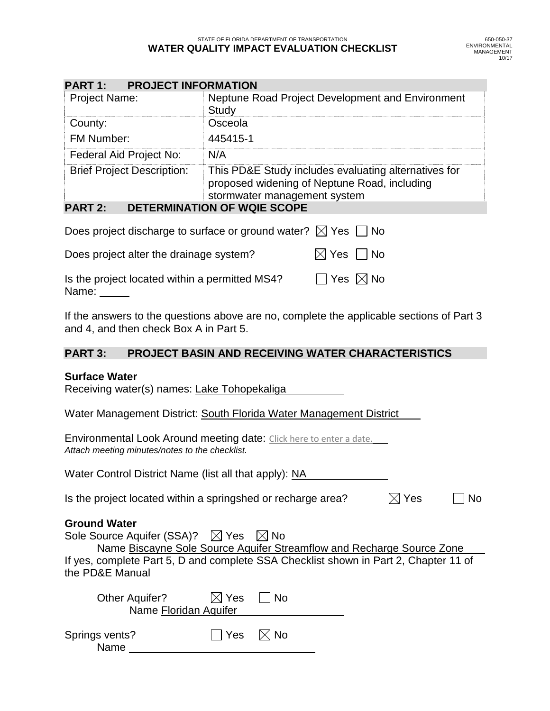| <b>PART 1: PROJECT INFORMATION</b>     |                                                                                                                                      |  |  |  |  |
|----------------------------------------|--------------------------------------------------------------------------------------------------------------------------------------|--|--|--|--|
| Project Name:                          | Neptune Road Project Development and Environment<br>Study                                                                            |  |  |  |  |
| County:                                | Osceola                                                                                                                              |  |  |  |  |
| FM Number:                             | 445415-1                                                                                                                             |  |  |  |  |
| Federal Aid Project No:                | N/A                                                                                                                                  |  |  |  |  |
| <b>Brief Project Description:</b>      | This PD&E Study includes evaluating alternatives for<br>proposed widening of Neptune Road, including<br>stormwater management system |  |  |  |  |
| DETERMINATION OF WOIF SCORE<br>DADT 2. |                                                                                                                                      |  |  |  |  |

# **PART 2: DETERMINATION OF WQIE SCOPE**

| Does project discharge to surface or ground water? $\boxtimes$ Yes $\Box$ No |                           |  |
|------------------------------------------------------------------------------|---------------------------|--|
| Does project alter the drainage system?                                      | $\boxtimes$ Yes $\Box$ No |  |
| <b>The decision of the contract of the contract of the LN40040</b>           |                           |  |

Is the project located within a permitted MS4?  $\Box$  Yes  $\boxtimes$  No Name:

If the answers to the questions above are no, complete the applicable sections of Part 3 and 4, and then check Box A in Part 5.

# **PART 3: PROJECT BASIN AND RECEIVING WATER CHARACTERISTICS**

#### **Surface Water**

Receiving water(s) names: Lake Tohopekaliga

Water Management District: South Florida Water Management District

Environmental Look Around meeting date: Click here to enter a date. *Attach meeting minutes/notes to the checklist.*

Water Control District Name (list all that apply): NA

Is the project located within a springshed or recharge area?  $\boxtimes$  Yes  $\Box$  No

#### **Ground Water**

| Sole Source Aquifer (SSA)? $\boxtimes$ Yes $\boxtimes$ No                                               |
|---------------------------------------------------------------------------------------------------------|
| Name Biscayne Sole Source Aquifer Streamflow and Recharge Source Zone                                   |
| If yes, complete Part 5, D and complete SSA Checklist shown in Part 2, Chapter 11 of<br>the PD&E Manual |

| Other Aquifer?         | $\boxtimes$ Yes $\Box$ No       |  |  |  |  |  |
|------------------------|---------------------------------|--|--|--|--|--|
| Name Floridan Aquifer  |                                 |  |  |  |  |  |
| Springs vents?<br>Name | $\vert$   Yes $\vert \times$ No |  |  |  |  |  |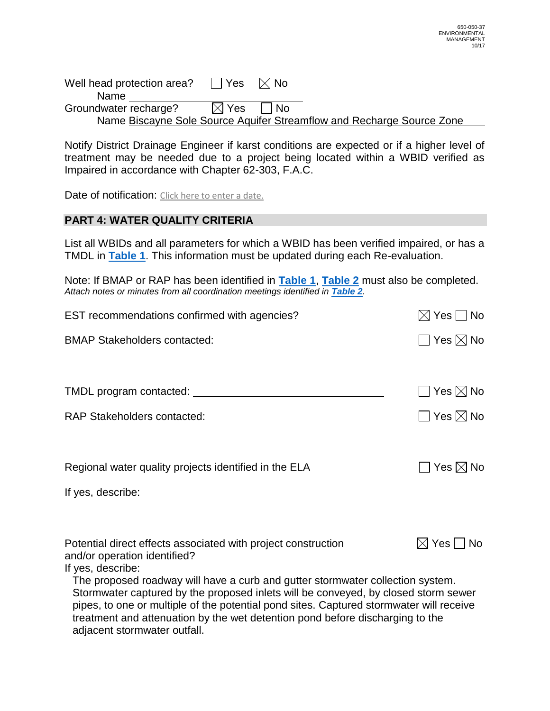Well head protection area?  $\Box$  Yes  $\Box$  No Name Groundwater recharge?  $\boxtimes$  Yes  $\Box$  No Name Biscayne Sole Source Aquifer Streamflow and Recharge Source Zone

Notify District Drainage Engineer if karst conditions are expected or if a higher level of treatment may be needed due to a project being located within a WBID verified as Impaired in accordance with Chapter 62-303, F.A.C.

Date of notification: Click here to enter a date.

### **PART 4: WATER QUALITY CRITERIA**

List all WBIDs and all parameters for which a WBID has been verified impaired, or has a TMDL in **[Table 1](#page-3-0)**. This information must be updated during each Re-evaluation.

Note: If BMAP or RAP has been identified in **[Table 1](#page-3-0)**, **[Table 2](#page-4-0)** must also be completed. *Attach notes or minutes from all coordination meetings identified in [Table 2](#page-4-0).*

| EST recommendations confirmed with agencies?                                                                                                                             | $\boxtimes$ Yes $\Box$ No |
|--------------------------------------------------------------------------------------------------------------------------------------------------------------------------|---------------------------|
| <b>BMAP Stakeholders contacted:</b>                                                                                                                                      | $\Box$ Yes $\boxtimes$ No |
|                                                                                                                                                                          |                           |
| TMDL program contacted: _______                                                                                                                                          | $\Box$ Yes $\boxtimes$ No |
| <b>RAP Stakeholders contacted:</b>                                                                                                                                       | $\Box$ Yes $\boxtimes$ No |
|                                                                                                                                                                          |                           |
| Regional water quality projects identified in the ELA                                                                                                                    | Yes $\boxtimes$ No        |
| If yes, describe:                                                                                                                                                        |                           |
|                                                                                                                                                                          |                           |
| Potential direct effects associated with project construction                                                                                                            | $\boxtimes$ Yes $\Box$ No |
| and/or operation identified?<br>If yes, describe:                                                                                                                        |                           |
| The proposed roadway will have a curb and gutter stormwater collection system.                                                                                           |                           |
| Stormwater captured by the proposed inlets will be conveyed, by closed storm sewer                                                                                       |                           |
| pipes, to one or multiple of the potential pond sites. Captured stormwater will receive<br>treatment and attenuation by the wet detention pond before discharging to the |                           |
| adjacent stormwater outfall.                                                                                                                                             |                           |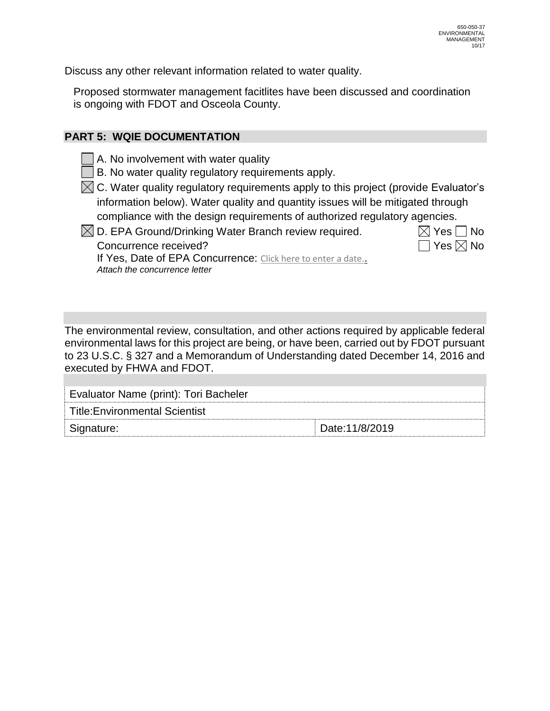Discuss any other relevant information related to water quality.

Proposed stormwater management facitlites have been discussed and coordination is ongoing with FDOT and Osceola County.

## **PART 5: WQIE DOCUMENTATION**

A. No involvement with water quality

B. No water quality regulatory requirements apply.

- $\boxtimes$  C. Water quality regulatory requirements apply to this project (provide Evaluator's information below). Water quality and quantity issues will be mitigated through compliance with the design requirements of authorized regulatory agencies.
- $\boxtimes$  D. EPA Ground/Drinking Water Branch review required.  $\boxtimes$  Yes  $\Box$  No

Concurrence received?  $\Box$  Yes  $\boxtimes$  No If Yes, Date of EPA Concurrence: Click here to enter a date.. *Attach the concurrence letter*

The environmental review, consultation, and other actions required by applicable federal environmental laws for this project are being, or have been, carried out by FDOT pursuant to 23 U.S.C. § 327 and a Memorandum of Understanding dated December 14, 2016 and executed by FHWA and FDOT.

| Evaluator Name (print): Tori Bacheler |                |  |  |  |  |
|---------------------------------------|----------------|--|--|--|--|
| Title:Environmental Scientist         |                |  |  |  |  |
| Signature:                            | Date:11/8/2019 |  |  |  |  |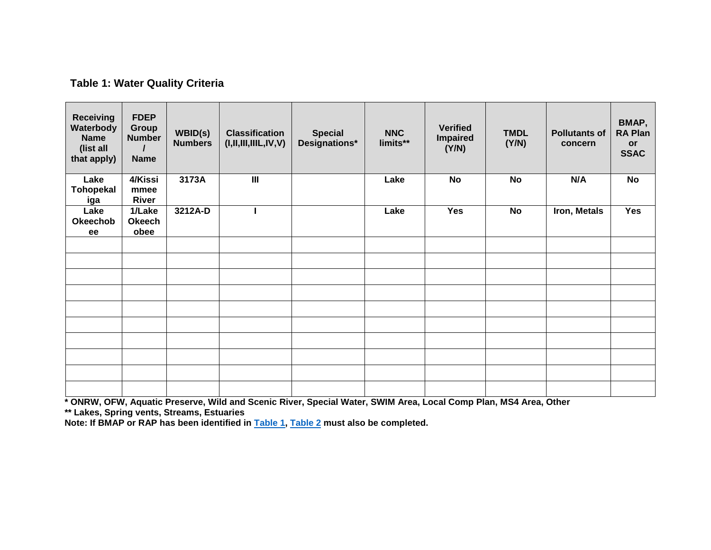# <span id="page-3-1"></span>**Table 1: Water Quality Criteria**

<span id="page-3-0"></span>

| <b>Receiving</b><br>Waterbody<br><b>Name</b><br>(list all<br>that apply) | <b>FDEP</b><br><b>Group</b><br><b>Number</b><br><b>Name</b> | WBID(s)<br><b>Numbers</b> | <b>Classification</b><br>(I, II, III, IIIL, IV, V) | <b>Special</b><br>Designations* | <b>NNC</b><br>limits** | <b>Verified</b><br><b>Impaired</b><br>(Y/N) | <b>TMDL</b><br>(Y/N) | <b>Pollutants of</b><br>concern | BMAP,<br><b>RA Plan</b><br>or<br><b>SSAC</b> |
|--------------------------------------------------------------------------|-------------------------------------------------------------|---------------------------|----------------------------------------------------|---------------------------------|------------------------|---------------------------------------------|----------------------|---------------------------------|----------------------------------------------|
| Lake<br>Tohopekal<br><u>iga</u>                                          | 4/Kissi<br>mmee<br><b>River</b>                             | 3173A                     | $\overline{\mathbf{m}}$                            |                                 | Lake                   | <b>No</b>                                   | <b>No</b>            | N/A                             | $\overline{N}$                               |
| Lake<br><b>Okeechob</b><br>ee                                            | 1/Lake<br><b>Okeech</b><br>obee                             | 3212A-D                   | I                                                  |                                 | Lake                   | <b>Yes</b>                                  | <b>No</b>            | Iron, Metals                    | <b>Yes</b>                                   |
|                                                                          |                                                             |                           |                                                    |                                 |                        |                                             |                      |                                 |                                              |
|                                                                          |                                                             |                           |                                                    |                                 |                        |                                             |                      |                                 |                                              |
|                                                                          |                                                             |                           |                                                    |                                 |                        |                                             |                      |                                 |                                              |
|                                                                          |                                                             |                           |                                                    |                                 |                        |                                             |                      |                                 |                                              |
|                                                                          |                                                             |                           |                                                    |                                 |                        |                                             |                      |                                 |                                              |
|                                                                          |                                                             |                           |                                                    |                                 |                        |                                             |                      |                                 |                                              |
|                                                                          |                                                             |                           |                                                    |                                 |                        |                                             |                      |                                 |                                              |
|                                                                          |                                                             |                           |                                                    |                                 |                        |                                             |                      |                                 |                                              |
|                                                                          |                                                             |                           |                                                    |                                 |                        |                                             |                      |                                 |                                              |
|                                                                          |                                                             |                           |                                                    |                                 |                        |                                             |                      |                                 |                                              |

\* ONRW, OFW, Aquatic Preserve, Wild and Scenic River, Special Water, SWIM Area, Local Comp Plan, MS4 Area, Other

\*\* Lakes, Spring vents, Streams, Estuaries

Note: If BMAP or RAP has been identified in Table 1, Table 2 must also be completed.